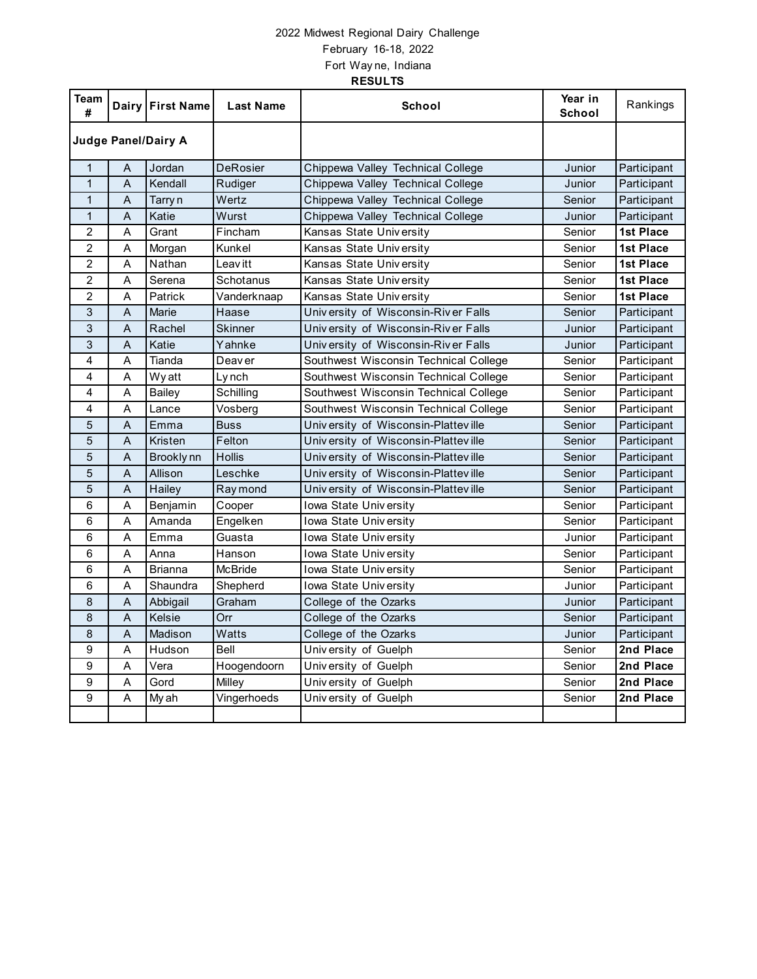## 2022 Midwest Regional Dairy Challenge February 16-18, 2022 Fort Way ne, Indiana **RESULTS**

| Team<br>#                  |   | Dairy First Name | <b>Last Name</b> | School                                | Year in<br><b>School</b> | Rankings         |
|----------------------------|---|------------------|------------------|---------------------------------------|--------------------------|------------------|
| <b>Judge Panel/Dairy A</b> |   |                  |                  |                                       |                          |                  |
| 1                          | A | Jordan           | <b>DeRosier</b>  | Chippewa Valley Technical College     | Junior                   | Participant      |
| $\mathbf{1}$               | A | Kendall          | Rudiger          | Chippewa Valley Technical College     | Junior                   | Participant      |
| $\mathbf{1}$               | A | Tarry n          | Wertz            | Chippewa Valley Technical College     | Senior                   | Participant      |
| $\mathbf{1}$               | A | Katie            | Wurst            | Chippewa Valley Technical College     | Junior                   | Participant      |
| $\overline{2}$             | A | Grant            | Fincham          | Kansas State University               | Senior                   | 1st Place        |
| $\overline{c}$             | A | Morgan           | Kunkel           | Kansas State University               | Senior                   | <b>1st Place</b> |
| $\overline{c}$             | A | Nathan           | Leav itt         | Kansas State University               | Senior                   | <b>1st Place</b> |
| $\overline{c}$             | A | Serena           | Schotanus        | Kansas State University               | Senior                   | 1st Place        |
| $\overline{c}$             | A | Patrick          | Vanderknaap      | Kansas State University               | Senior                   | <b>1st Place</b> |
| 3                          | A | Marie            | Haase            | University of Wisconsin-River Falls   | Senior                   | Participant      |
| 3                          | Α | Rachel           | Skinner          | University of Wisconsin-River Falls   | Junior                   | Participant      |
| 3                          | A | Katie            | Yahnke           | University of Wisconsin-River Falls   | Junior                   | Participant      |
| $\overline{4}$             | A | Tianda           | Deav er          | Southwest Wisconsin Technical College | Senior                   | Participant      |
| 4                          | Α | Wyatt            | Lynch            | Southwest Wisconsin Technical College | Senior                   | Participant      |
| 4                          | Α | Bailey           | Schilling        | Southwest Wisconsin Technical College | Senior                   | Participant      |
| $\overline{4}$             | A | Lance            | Vosberg          | Southwest Wisconsin Technical College | Senior                   | Participant      |
| 5                          | A | Emma             | <b>Buss</b>      | University of Wisconsin-Platteville   | Senior                   | Participant      |
| 5                          | Α | Kristen          | Felton           | University of Wisconsin-Platteville   | Senior                   | Participant      |
| 5                          | A | Brookly nn       | <b>Hollis</b>    | University of Wisconsin-Platteville   | Senior                   | Participant      |
| $\overline{5}$             | Α | Allison          | Leschke          | University of Wisconsin-Platteville   | Senior                   | Participant      |
| 5                          | A | Hailey           | Ray mond         | University of Wisconsin-Platteville   | Senior                   | Participant      |
| 6                          | A | Benjamin         | Cooper           | Iowa State University                 | Senior                   | Participant      |
| 6                          | A | Amanda           | Engelken         | Iowa State University                 | Senior                   | Participant      |
| 6                          | A | Emma             | Guasta           | <b>Iowa State University</b>          | Junior                   | Participant      |
| 6                          | A | Anna             | Hanson           | Iowa State University                 | Senior                   | Participant      |
| 6                          | A | <b>Brianna</b>   | <b>McBride</b>   | Iowa State University                 | Senior                   | Participant      |
| 6                          | A | Shaundra         | Shepherd         | Iowa State University                 | Junior                   | Participant      |
| 8                          | A | Abbigail         | Graham           | College of the Ozarks                 | Junior                   | Participant      |
| 8                          | A | Kelsie           | Orr              | College of the Ozarks                 | Senior                   | Participant      |
| 8                          | A | Madison          | Watts            | College of the Ozarks                 | Junior                   | Participant      |
| 9                          | Α | Hudson           | Bell             | University of Guelph                  | Senior                   | 2nd Place        |
| 9                          | A | Vera             | Hoogendoorn      | University of Guelph                  | Senior                   | 2nd Place        |
| $\overline{9}$             | A | Gord             | Milley           | University of Guelph                  | Senior                   | 2nd Place        |
| 9                          | Α | My ah            | Vingerhoeds      | University of Guelph                  | Senior                   | 2nd Place        |
|                            |   |                  |                  |                                       |                          |                  |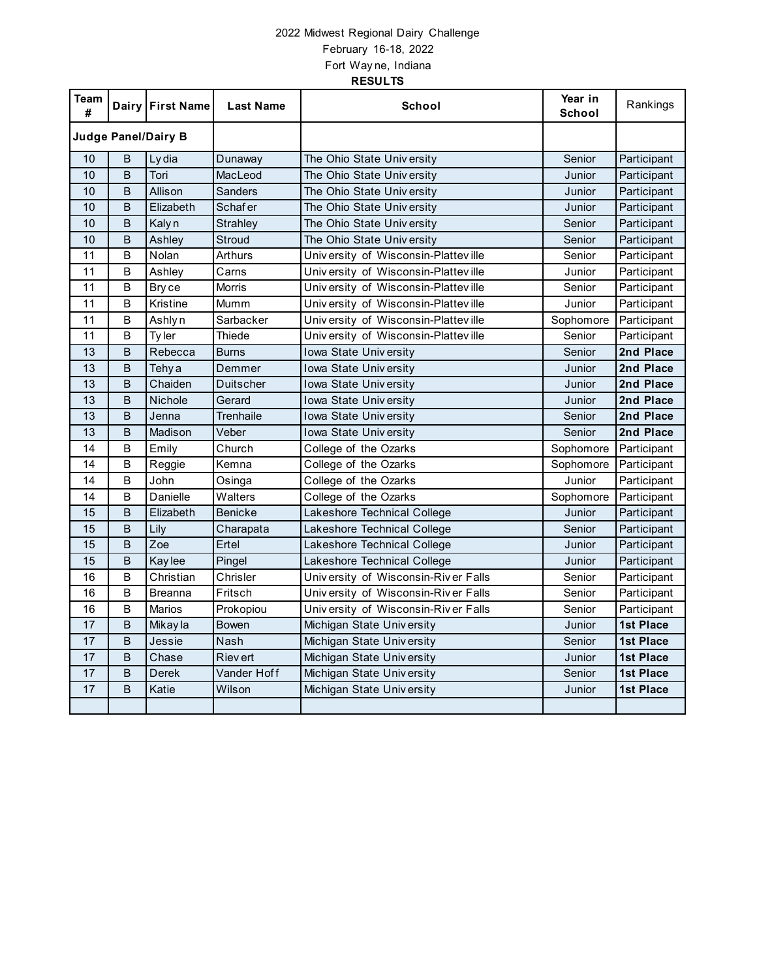## 2022 Midwest Regional Dairy Challenge February 16-18, 2022 Fort Way ne, Indiana **RESULTS**

| Team<br>#                  |   | Dairy First Name  | <b>Last Name</b> | School                              | Year in<br><b>School</b> | Rankings         |
|----------------------------|---|-------------------|------------------|-------------------------------------|--------------------------|------------------|
| <b>Judge Panel/Dairy B</b> |   |                   |                  |                                     |                          |                  |
| 10                         | B | Ly dia            | Dunaway          | The Ohio State University           | Senior                   | Participant      |
| 10                         | B | Tori              | MacLeod          | The Ohio State University           | Junior                   | Participant      |
| 10                         | B | Allison           | Sanders          | The Ohio State University           | Junior                   | Participant      |
| 10                         | B | Elizabeth         | <b>Schafer</b>   | The Ohio State University           | Junior                   | Participant      |
| 10                         | B | Kaly <sub>n</sub> | Strahley         | The Ohio State University           | Senior                   | Participant      |
| 10                         | B | Ashley            | Stroud           | The Ohio State University           | Senior                   | Participant      |
| 11                         | B | Nolan             | Arthurs          | University of Wisconsin-Platteville | Senior                   | Participant      |
| 11                         | B | Ashley            | Carns            | University of Wisconsin-Platteville | Junior                   | Participant      |
| 11                         | B | Bry ce            | <b>Morris</b>    | University of Wisconsin-Platteville | Senior                   | Participant      |
| 11                         | В | Kristine          | Mumm             | University of Wisconsin-Platteville | Junior                   | Participant      |
| 11                         | B | Ashly n           | Sarbacker        | University of Wisconsin-Platteville | Sophomore                | Participant      |
| 11                         | В | Ty ler            | Thiede           | University of Wisconsin-Platteville | Senior                   | Participant      |
| 13                         | B | Rebecca           | <b>Burns</b>     | Iowa State University               | Senior                   | 2nd Place        |
| 13                         | B | Tehy a            | Demmer           | Iowa State University               | Junior                   | 2nd Place        |
| 13                         | B | Chaiden           | Duitscher        | Iowa State University               | Junior                   | 2nd Place        |
| 13                         | B | <b>Nichole</b>    | Gerard           | Iowa State University               | Junior                   | 2nd Place        |
| 13                         | B | Jenna             | <b>Trenhaile</b> | Iowa State University               | Senior                   | 2nd Place        |
| 13                         | B | Madison           | Veber            | Iowa State University               | Senior                   | 2nd Place        |
| 14                         | B | Emily             | Church           | College of the Ozarks               | Sophomore                | Participant      |
| 14                         | B | Reggie            | Kemna            | College of the Ozarks               | Sophomore                | Participant      |
| 14                         | B | John              | Osinga           | College of the Ozarks               | Junior                   | Participant      |
| 14                         | B | Danielle          | Walters          | College of the Ozarks               | Sophomore                | Participant      |
| 15                         | B | Elizabeth         | <b>Benicke</b>   | Lakeshore Technical College         | Junior                   | Participant      |
| 15                         | B | Lily              | Charapata        | Lakeshore Technical College         | Senior                   | Participant      |
| 15                         | B | Zoe               | Ertel            | Lakeshore Technical College         | Junior                   | Participant      |
| 15                         | B | Kay lee           | Pingel           | Lakeshore Technical College         | Junior                   | Participant      |
| 16                         | B | Christian         | Chrisler         | University of Wisconsin-River Falls | Senior                   | Participant      |
| 16                         | B | Breanna           | Fritsch          | University of Wisconsin-River Falls | Senior                   | Participant      |
| 16                         | B | <b>Marios</b>     | Prokopiou        | University of Wisconsin-River Falls | Senior                   | Participant      |
| 17                         | B | Mikay la          | <b>Bowen</b>     | Michigan State University           | Junior                   | <b>1st Place</b> |
| 17                         | B | Jessie            | Nash             | Michigan State University           | Senior                   | <b>1st Place</b> |
| 17                         | B | Chase             | <b>Rievert</b>   | Michigan State University           | Junior                   | <b>1st Place</b> |
| 17                         | B | <b>Derek</b>      | Vander Hoff      | Michigan State University           | Senior                   | <b>1st Place</b> |
| 17                         | B | Katie             | Wilson           | Michigan State University           | Junior                   | <b>1st Place</b> |
|                            |   |                   |                  |                                     |                          |                  |